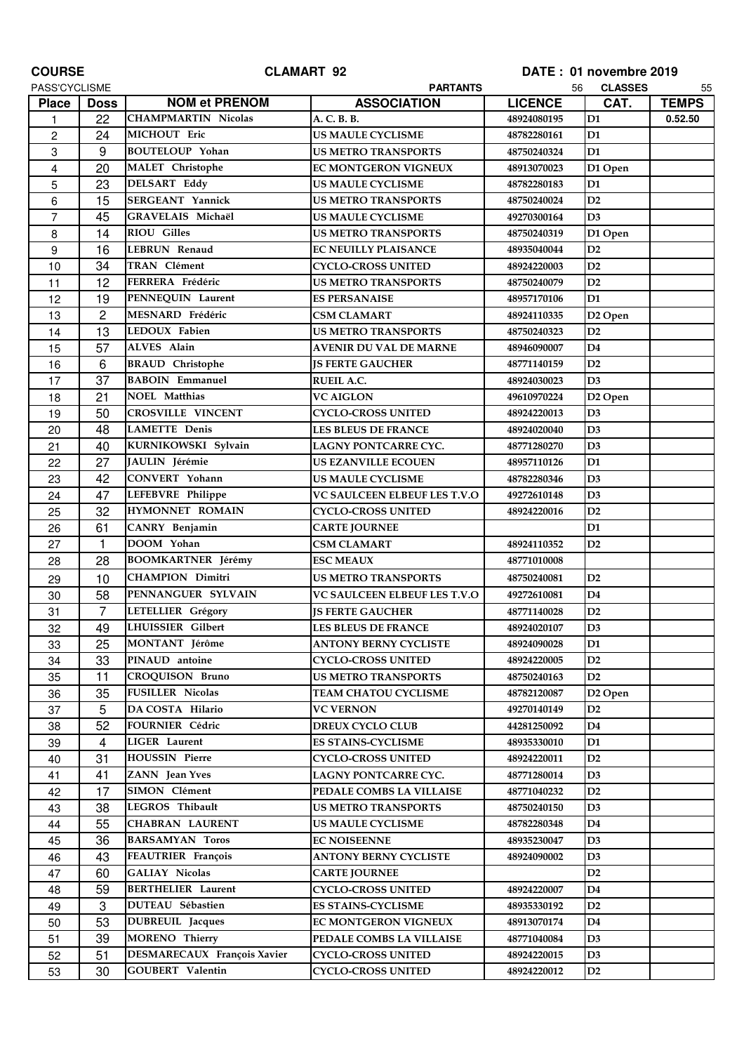| <b>COURSE</b>  |                | <b>CLAMART 92</b>           | DATE: 01 novembre 2019              |                |                     |              |
|----------------|----------------|-----------------------------|-------------------------------------|----------------|---------------------|--------------|
| PASS'CYCLISME  |                |                             | <b>PARTANTS</b>                     | 56             | <b>CLASSES</b>      | 55           |
| <b>Place</b>   | <b>Doss</b>    | <b>NOM et PRENOM</b>        | <b>ASSOCIATION</b>                  | <b>LICENCE</b> | CAT.                | <b>TEMPS</b> |
| 1              | 22             | <b>CHAMPMARTIN Nicolas</b>  | A. C. B. B.                         | 48924080195    | D <sub>1</sub>      | 0.52.50      |
| $\overline{c}$ | 24             | MICHOUT Eric                | <b>US MAULE CYCLISME</b>            | 48782280161    | D <sub>1</sub>      |              |
| 3              | 9              | <b>BOUTELOUP Yohan</b>      | <b>US METRO TRANSPORTS</b>          | 48750240324    | D <sub>1</sub>      |              |
| $\overline{4}$ | 20             | MALET Christophe            | EC MONTGERON VIGNEUX                | 48913070023    | D1 Open             |              |
| 5              | 23             | <b>DELSART Eddy</b>         | <b>US MAULE CYCLISME</b>            | 48782280183    | D <sub>1</sub>      |              |
| 6              | 15             | <b>SERGEANT Yannick</b>     | <b>US METRO TRANSPORTS</b>          | 48750240024    | D2                  |              |
| $\overline{7}$ | 45             | <b>GRAVELAIS Michaël</b>    | <b>US MAULE CYCLISME</b>            | 49270300164    | D3                  |              |
| 8              | 14             | <b>RIOU Gilles</b>          | <b>US METRO TRANSPORTS</b>          | 48750240319    | D1 Open             |              |
| 9              | 16             | <b>LEBRUN Renaud</b>        | <b>EC NEUILLY PLAISANCE</b>         | 48935040044    | D2                  |              |
| 10             | 34             | <b>TRAN</b> Clément         | <b>CYCLO-CROSS UNITED</b>           | 48924220003    | D2                  |              |
| 11             | 12             | FERRERA Frédéric            | <b>US METRO TRANSPORTS</b>          | 48750240079    | D2                  |              |
| 12             | 19             | PENNEQUIN Laurent           | <b>ES PERSANAISE</b>                | 48957170106    | D <sub>1</sub>      |              |
| 13             | $\overline{2}$ | MESNARD Frédéric            | <b>CSM CLAMART</b>                  | 48924110335    | D <sub>2</sub> Open |              |
| 14             | 13             | LEDOUX Fabien               | <b>US METRO TRANSPORTS</b>          | 48750240323    | D2                  |              |
| 15             | 57             | ALVES Alain                 | <b>AVENIR DU VAL DE MARNE</b>       | 48946090007    | D4                  |              |
| 16             | 6              | <b>BRAUD</b> Christophe     | <b>IS FERTE GAUCHER</b>             | 48771140159    | D2                  |              |
| 17             | 37             | <b>BABOIN</b> Emmanuel      | <b>RUEIL A.C.</b>                   | 48924030023    | D3                  |              |
| 18             | 21             | <b>NOEL Matthias</b>        | <b>VC AIGLON</b>                    | 49610970224    | D <sub>2</sub> Open |              |
| 19             | 50             | <b>CROSVILLE VINCENT</b>    | <b>CYCLO-CROSS UNITED</b>           | 48924220013    | D3                  |              |
| 20             | 48             | <b>LAMETTE Denis</b>        | <b>LES BLEUS DE FRANCE</b>          | 48924020040    | D <sub>3</sub>      |              |
| 21             | 40             | KURNIKOWSKI Sylvain         | LAGNY PONTCARRE CYC.                | 48771280270    | D3                  |              |
| 22             | 27             | JAULIN Jérémie              | <b>US EZANVILLE ECOUEN</b>          | 48957110126    | D <sub>1</sub>      |              |
| 23             | 42             | CONVERT Yohann              | <b>US MAULE CYCLISME</b>            | 48782280346    | D3                  |              |
| 24             | 47             | LEFEBVRE Philippe           | <b>VC SAULCEEN ELBEUF LES T.V.O</b> | 49272610148    | D3                  |              |
| 25             | 32             | HYMONNET ROMAIN             | <b>CYCLO-CROSS UNITED</b>           | 48924220016    | D2                  |              |
| 26             | 61             | CANRY Benjamin              | <b>CARTE JOURNEE</b>                |                | D <sub>1</sub>      |              |
| 27             | $\mathbf{1}$   | DOOM Yohan                  | <b>CSM CLAMART</b>                  | 48924110352    | D2                  |              |
| 28             | 28             | <b>BOOMKARTNER</b> Jérémy   | <b>ESC MEAUX</b>                    | 48771010008    |                     |              |
| 29             | 10             | <b>CHAMPION Dimitri</b>     | <b>US METRO TRANSPORTS</b>          | 48750240081    | D2                  |              |
| 30             | 58             | PENNANGUER SYLVAIN          | VC SAULCEEN ELBEUF LES T.V.O        | 49272610081    | D <sub>4</sub>      |              |
| 31             | $\overline{7}$ | LETELLIER Grégory           | <b>JS FERTE GAUCHER</b>             | 48771140028    | D2                  |              |
| 32             | 49             | <b>LHUISSIER</b> Gilbert    | <b>LES BLEUS DE FRANCE</b>          | 48924020107    | D3                  |              |
| 33             | 25             | <b>MONTANT</b> Jérôme       | ANTONY BERNY CYCLISTE               | 48924090028    | D1                  |              |
| 34             | 33             | PINAUD antoine              | <b>CYCLO-CROSS UNITED</b>           | 48924220005    | D <sub>2</sub>      |              |
| 35             | 11             | <b>CROQUISON Bruno</b>      | <b>US METRO TRANSPORTS</b>          | 48750240163    | D2                  |              |
| 36             | 35             | <b>FUSILLER Nicolas</b>     | <b>TEAM CHATOU CYCLISME</b>         | 48782120087    | D <sub>2</sub> Open |              |
| 37             | 5              | DA COSTA Hilario            | <b>VC VERNON</b>                    | 49270140149    | D2                  |              |
| 38             | 52             | <b>FOURNIER Cédric</b>      | <b>DREUX CYCLO CLUB</b>             | 44281250092    | D <sub>4</sub>      |              |
| 39             | 4              | LIGER Laurent               | <b>ES STAINS-CYCLISME</b>           | 48935330010    | D1                  |              |
| 40             | 31             | <b>HOUSSIN Pierre</b>       | <b>CYCLO-CROSS UNITED</b>           | 48924220011    | D2                  |              |
| 41             | 41             | <b>ZANN</b> Jean Yves       | LAGNY PONTCARRE CYC.                | 48771280014    | D <sub>3</sub>      |              |
| 42             | 17             | <b>SIMON Clément</b>        | PEDALE COMBS LA VILLAISE            | 48771040232    | D2                  |              |
| 43             | 38             | LEGROS Thibault             | <b>US METRO TRANSPORTS</b>          | 48750240150    | D3                  |              |
| 44             | 55             | <b>CHABRAN LAURENT</b>      | <b>US MAULE CYCLISME</b>            | 48782280348    | D4                  |              |
| 45             | 36             | <b>BARSAMYAN Toros</b>      | <b>EC NOISEENNE</b>                 | 48935230047    | D <sub>3</sub>      |              |
| 46             | 43             | FEAUTRIER François          | <b>ANTONY BERNY CYCLISTE</b>        | 48924090002    | D <sub>3</sub>      |              |
| 47             | 60             | <b>GALIAY Nicolas</b>       | <b>CARTE JOURNEE</b>                |                | D2                  |              |
| 48             | 59             | <b>BERTHELIER Laurent</b>   | CYCLO-CROSS UNITED                  | 48924220007    | D <sub>4</sub>      |              |
| 49             | 3              | DUTEAU Sébastien            | <b>ES STAINS-CYCLISME</b>           | 48935330192    | D2                  |              |
| 50             | 53             | <b>DUBREUIL</b> Jacques     | EC MONTGERON VIGNEUX                | 48913070174    | D4                  |              |
| 51             | 39             | <b>MORENO</b> Thierry       | PEDALE COMBS LA VILLAISE            | 48771040084    | D3                  |              |
| 52             | 51             | DESMARECAUX François Xavier | <b>CYCLO-CROSS UNITED</b>           | 48924220015    | D3                  |              |
|                |                | <b>GOUBERT</b> Valentin     | <b>CYCLO-CROSS UNITED</b>           |                | D2                  |              |
| 53             | 30             |                             |                                     | 48924220012    |                     |              |